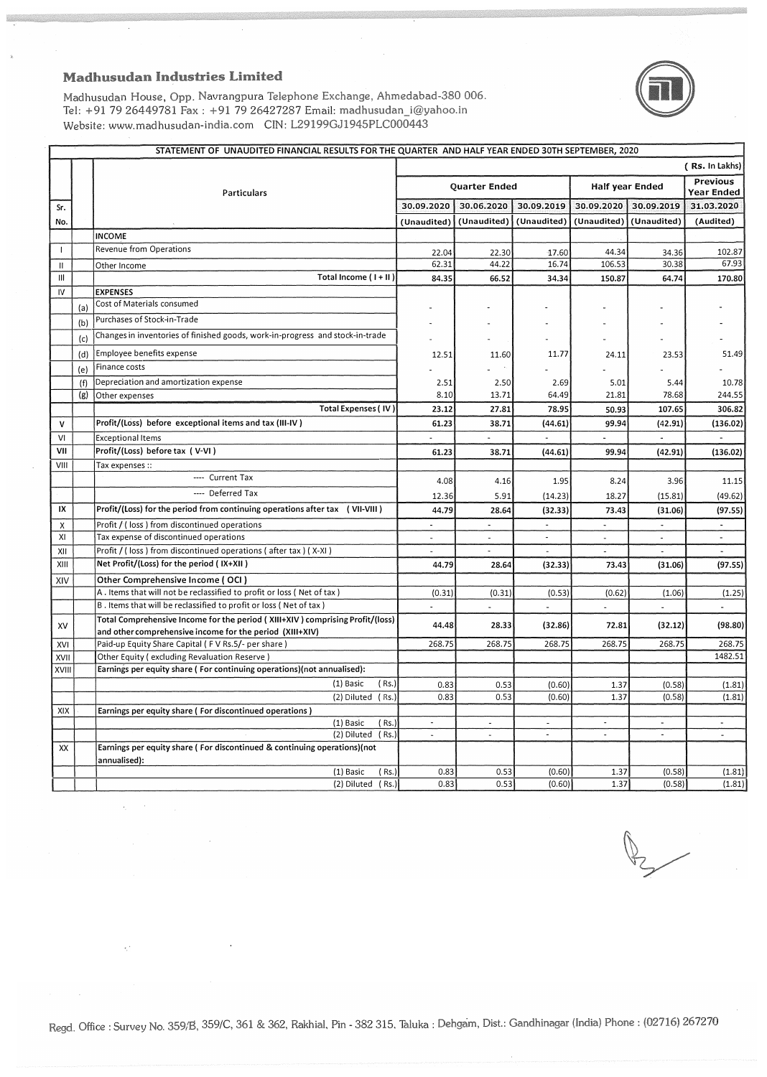

Madhusudan House, Opp. Navrangpura Telephone Exchange, Ahmedabad-380 006. Tel: +91 79 26449781 Fax: +91 79 26427287 Email: madhusudan\_i@yahoo.in Website: www.madhusudan-india.com CIN: L29199GJ1945PLC000443

|               | STATEMENT OF UNAUDITED FINANCIAL RESULTS FOR THE QUARTER AND HALF YEAR ENDED 30TH SEPTEMBER, 2020 |                                                                                                                                           |                      |                      |                          |                 |                          |                               |
|---------------|---------------------------------------------------------------------------------------------------|-------------------------------------------------------------------------------------------------------------------------------------------|----------------------|----------------------|--------------------------|-----------------|--------------------------|-------------------------------|
|               |                                                                                                   |                                                                                                                                           |                      |                      |                          |                 |                          | ( Rs. In Lakhs)               |
|               |                                                                                                   | <b>Particulars</b>                                                                                                                        | <b>Quarter Ended</b> |                      |                          | Half year Ended |                          | <b>Previous</b><br>Year Ended |
| Sr.           |                                                                                                   |                                                                                                                                           | 30.09.2020           | 30.06.2020           | 30.09.2019               |                 | 30.09.2020 30.09.2019    | 31.03.2020                    |
| No.           |                                                                                                   |                                                                                                                                           | (Unaudited)          | (Unaudited)          | (Unaudited)              | (Unaudited)     | (Unaudited)              | (Audited)                     |
|               |                                                                                                   | <b>INCOME</b>                                                                                                                             |                      |                      |                          |                 |                          |                               |
| $\mathbf{I}$  |                                                                                                   | Revenue from Operations                                                                                                                   | 22.04                | 22.30                | 17.60                    | 44.34           | 34.36                    | 102.87                        |
| $\mathsf{II}$ |                                                                                                   | Other Income                                                                                                                              | 62.31                | 44.22                | 16.74                    | 106.53          | 30.38                    | 67.93                         |
| Ш             |                                                                                                   | Total Income (I+II)                                                                                                                       | 84.35                | 66.52                | 34.34                    | 150.87          | 64.74                    | 170.80                        |
| IV            |                                                                                                   | <b>EXPENSES</b>                                                                                                                           |                      |                      |                          |                 |                          |                               |
|               | (a)                                                                                               | Cost of Materials consumed                                                                                                                |                      |                      |                          |                 |                          |                               |
|               | (b)                                                                                               | Purchases of Stock-in-Trade                                                                                                               |                      |                      |                          |                 |                          |                               |
|               | (c)                                                                                               | Changes in inventories of finished goods, work-in-progress and stock-in-trade                                                             |                      |                      |                          |                 |                          |                               |
|               | (d)                                                                                               | Employee benefits expense                                                                                                                 | 12.51                | 11.60                | 11.77                    | 24.11           | 23.53                    | 51.49                         |
|               | (e)                                                                                               | Finance costs                                                                                                                             |                      |                      |                          |                 |                          |                               |
|               | (f)                                                                                               | Depreciation and amortization expense                                                                                                     | 2.51                 | 2.50                 | 2.69                     | 5.01            | 5.44                     | 10.78                         |
|               | (g)                                                                                               | Other expenses                                                                                                                            | 8.10                 | 13.71                | 64.49                    | 21.81           | 78.68                    | 244.55                        |
|               |                                                                                                   | <b>Total Expenses (IV)</b>                                                                                                                | 23.12                | 27.81                | 78.95                    | 50.93           | 107.65                   | 306.82                        |
| v             |                                                                                                   | Profit/(Loss) before exceptional items and tax (III-IV)                                                                                   | 61.23                | 38.71                | (44.61)                  | 99.94           | (42.91)                  | (136.02)                      |
| VI            |                                                                                                   | <b>Exceptional Items</b>                                                                                                                  |                      |                      |                          |                 |                          |                               |
| VII           |                                                                                                   | Profit/(Loss) before tax (V-VI)                                                                                                           | 61.23                | 38.71                | (44.61)                  | 99.94           | (42.91)                  | (136.02)                      |
| VIII          |                                                                                                   | Tax expenses ::                                                                                                                           |                      |                      |                          |                 |                          |                               |
|               |                                                                                                   | ---- Current Tax                                                                                                                          | 4.08                 | 4.16                 | 1.95                     | 8.24            | 3.96                     | 11.15                         |
|               |                                                                                                   | ---- Deferred Tax                                                                                                                         | 12.36                | 5.91                 | (14.23)                  | 18.27           | (15.81)                  | (49.62)                       |
| IX            |                                                                                                   | Profit/(Loss) for the period from continuing operations after tax (VII-VIII)                                                              | 44.79                | 28.64                | (32.33)                  | 73.43           | (31.06)                  | (97.55)                       |
| χ             |                                                                                                   | Profit / (loss) from discontinued operations                                                                                              |                      |                      | $\tilde{\phantom{a}}$    | ä,              | $\sim$                   | $\overline{\phantom{a}}$      |
| XI            |                                                                                                   | Tax expense of discontinued operations                                                                                                    | $\sim$               | ÷                    | $\overline{\phantom{a}}$ | $\blacksquare$  | $\sim$                   | $\blacksquare$                |
| XII           |                                                                                                   | Profit / (loss) from discontinued operations (after tax) (X-XI)                                                                           | $\omega$             |                      | $\blacksquare$           | $\sim$          | $\overline{\phantom{a}}$ | $\sim$                        |
| XIII          |                                                                                                   | Net Profit/(Loss) for the period (IX+XII)                                                                                                 | 44.79                | 28.64                | (32.33)                  | 73.43           | (31.06)                  | (97.55)                       |
| XIV           |                                                                                                   | Other Comprehensive Income (OCI)                                                                                                          |                      |                      |                          |                 |                          |                               |
|               |                                                                                                   | A. Items that will not be reclassified to profit or loss (Net of tax)                                                                     | (0.31)               | (0.31)               | (0.53)                   | (0.62)          | (1.06)                   | (1.25)                        |
|               |                                                                                                   | B. Items that will be reclassified to profit or loss (Net of tax)                                                                         |                      |                      |                          | ä,              | $\omega$                 |                               |
| XV            |                                                                                                   | Total Comprehensive Income for the period (XIII+XIV) comprising Profit/(loss)<br>and other comprehensive income for the period (XIII+XIV) | 44.48                | 28.33                | (32.86)                  | 72.81           | (32.12)                  | (98.80)                       |
| XVI           |                                                                                                   | Paid-up Equity Share Capital (FV Rs.5/- per share)                                                                                        | 268.75               | 268.75               | 268.75                   | 268.75          | 268.75                   | 268.75                        |
| XVII          |                                                                                                   | Other Equity (excluding Revaluation Reserve)                                                                                              |                      |                      |                          |                 |                          | 1482.51                       |
| XVIII         |                                                                                                   | Earnings per equity share (For continuing operations)(not annualised):                                                                    |                      |                      |                          |                 |                          |                               |
|               |                                                                                                   | (1) Basic<br>(Rs.)                                                                                                                        | 0.83                 | 0.53                 | (0.60)                   | 1.37            | (0.58)                   | (1.81)                        |
|               |                                                                                                   | (2) Diluted (Rs.                                                                                                                          | 0.83                 | 0.53                 | (0.60)                   | 1.37            | (0.58)                   | (1.81)                        |
| XIX           |                                                                                                   | Earnings per equity share (For discontinued operations)<br>(1) Basic<br>(Rs.                                                              |                      |                      |                          |                 |                          |                               |
|               |                                                                                                   | (2) Diluted (Rs.)                                                                                                                         | $\overline{a}$       | $\ddot{\phantom{a}}$ | $\mathbf{r}$             | $\Box$          | $\Delta$                 | $\tilde{\phantom{a}}$         |
| XX            |                                                                                                   | Earnings per equity share (For discontinued & continuing operations)(not                                                                  |                      |                      |                          |                 |                          |                               |
|               |                                                                                                   | annualised):                                                                                                                              |                      |                      |                          |                 |                          |                               |
|               |                                                                                                   | (1) Basic<br>(Rs.)                                                                                                                        | 0.83                 | 0.53                 | (0.60)                   | 1.37            | (0.58)                   | (1.81)                        |
|               |                                                                                                   | (2) Diluted (Rs.)                                                                                                                         | 0.83                 | 0.53                 | (0.60)                   | 1.37            | (0.58)                   | (1.81)                        |

 $\mathsf{Z}^{\perp}$ 

Regd. Office : Survey No. 359/B, 359/C, 361 & 362, Rakhial, Pin - 382 315. Taluka : Dehgam, Dist.: Gandhinagar (India) Phone : (02716) 267270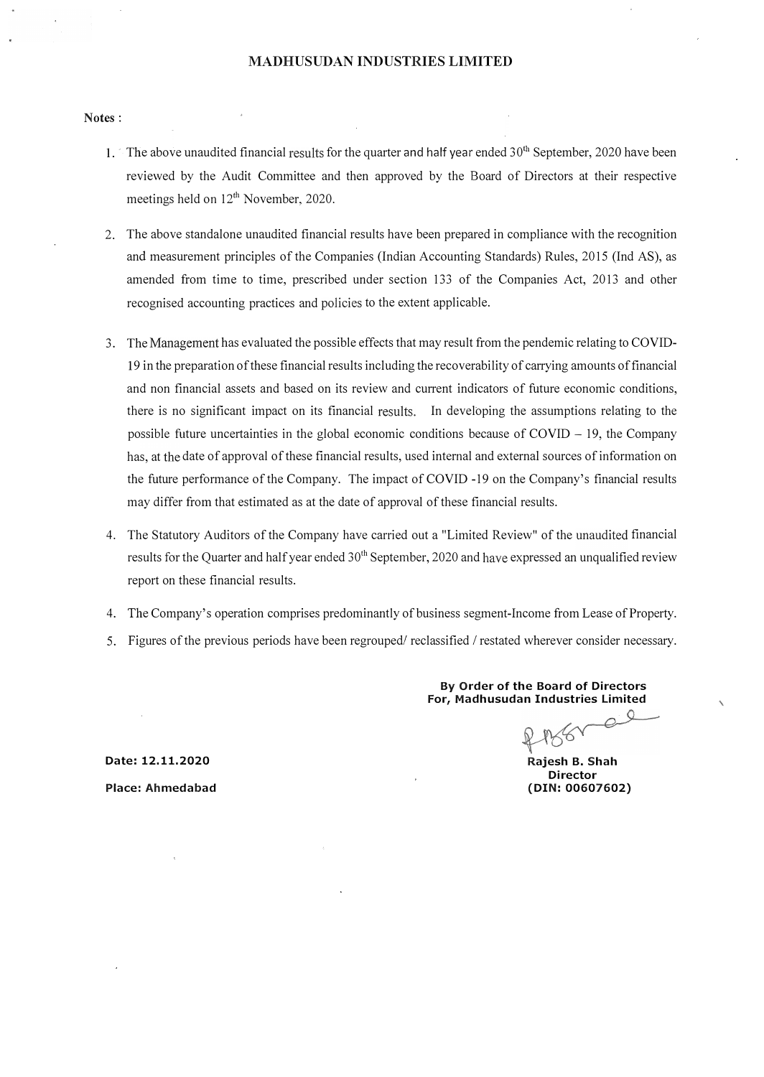#### MADHUSUDAN INDUSTRIES LIMITED

#### Notes:

- 1. The above unaudited financial results for the quarter and half year ended  $30<sup>th</sup>$  September, 2020 have been reviewed by the Audit Committee and then approved by the Board of Directors at their respective meetings held on  $12<sup>th</sup>$  November, 2020.
- 2. The above standalone unaudited financial results have been prepared in compliance with the recognition and measurement principles of the Companies (Indian Accounting Standards) Rules, 2015 (Ind AS), as amended from time to time, prescribed under section 133 of the Companies Act, 2013 and other recognised accounting practices and policies to the extent applicable.
- 3. The Management has evaluated the possible effects that may result from the pendemic relating to COVID-19 in the preparation of these financial results including the recoverability of carrying amounts of financial and non financial assets and based on its review and current indicators of future economic conditions, there is no significant impact on its financial results. In developing the assumptions relating to the possible future uncertainties in the global economic conditions because of  $\text{COVID} - 19$ , the Company has, at the date of approval of these financial results, used internal and external sources of information on the future performance of the Company. The impact of COVID -19 on the Company's financial results may differ from that estimated as at the date of approval of these financial results.
- 4. The Statutory Auditors of the Company have carried out a "Limited Review" of the unaudited financial results for the Quarter and half year ended  $30<sup>th</sup>$  September, 2020 and have expressed an unqualified review report on these financial results.
- 4. The Company's operation comprises predominantly of business segment-Income from Lease of Property.
- 5. Figures of the previous periods have been regrouped/ reclassified / restated wherever consider necessary.

By Order of the Board of Directors For, Madhusudan Industries limited

 $\mathcal{Q}$ 

Rajesh B. Shah Director (DIN:00607602)

Date: 12.11.2020 Place: Ahmedabad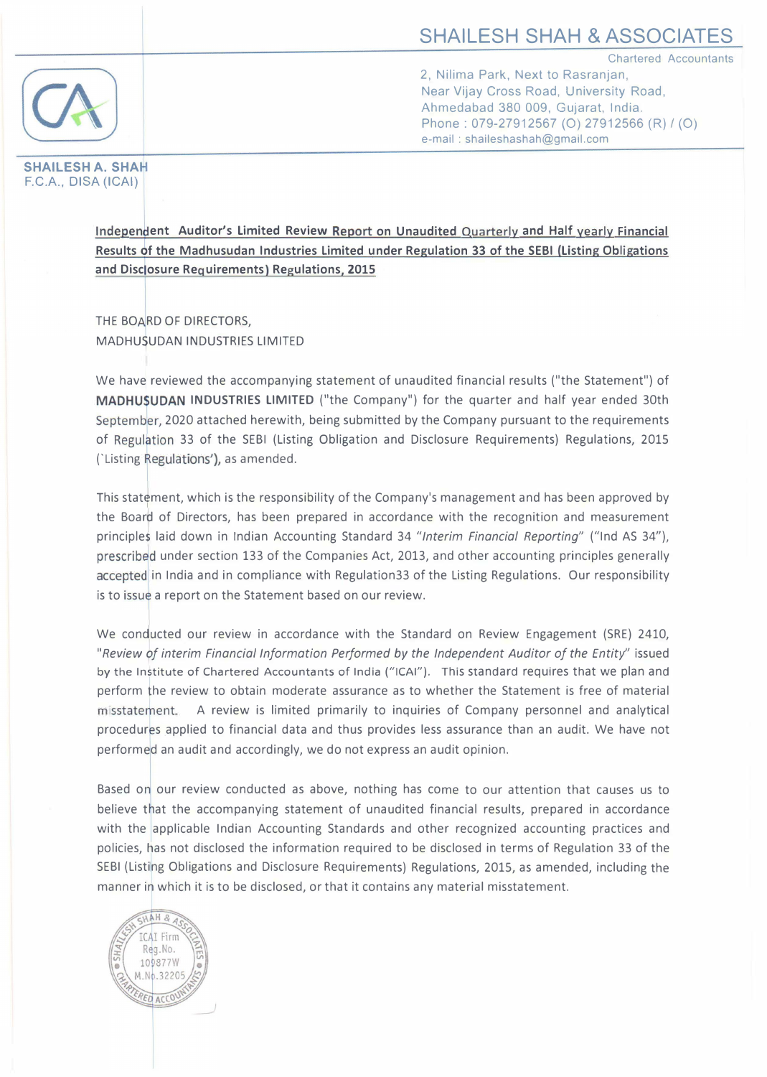# SHAILESH SHAH & ASSOCIATES

Chartered Accountants



2, Nilima Park, Next to Rasranjan, Near Vijay Cross Road, University Road, Ahmedabad 380 009, Gujarat, India. Phone: 079-27912567 (O) 27912566 (R) / (O) e-mail : shaileshashah@gmail.com

SHAILESH A. SHAH F.C.A., DISA (ICAI)

> Independent Auditor's Limited Review Report on Unaudited Quarterly and Half yearly Financial Results of the Madhusudan Industries Limited under Regulation 33 of the SEBI (Listing Obligations and Disclosure Requirements) Regulations, 2015

THE BOARD OF DIRECTORS. MADHUSUDAN INDUSTRIES LIMITED

We have reviewed the accompanying statement of unaudited financial results ("the Statement") of MADHUSUDAN INDUSTRIES LIMITED ("the Company") for the quarter and half year ended 30th September, 2020 attached herewith, being submitted by the Company pursuant to the requirements of Regulation 33 of the SEBI (Listing Obligation and Disclosure Requirements) Regulations, 2015 ('Listing Regulations'), as amended.

This statement, which is the responsibility of the Company's management and has been approved by the Boar� of Directors, has been prepared in accordance with the recognition and measurement principles laid down in Indian Accounting Standard 34 "Interim Financial Reporting" ("Ind AS 34"), prescribed under section 133 of the Companies Act, 2013, and other accounting principles generally accepted in India and in compliance with Regulation33 of the Listing Regulations. Our responsibility is to issue a report on the Statement based on our review.

We conducted our review in accordance with the Standard on Review Engagement (SRE) 2410, "Review of interim Financial Information Performed by the Independent Auditor of the Entity" issued<br>by the Institute of Chartered Accountants of India ("ICAI"). This standard requires that we plan and perform fhe review to obtain moderate assurance as to whether the Statement is free of material misstatement. A review is limited primarily to inquiries of Company personnel and analytical procedures applied to financial data and thus provides less assurance than an audit. We have not performed an audit and accordingly, we do not express an audit opinion.

Based on our review conducted as above, nothing has come to our attention that causes us to believe that the accompanying statement of unaudited financial results, prepared in accordance with the applicable Indian Accounting Standards and other recognized accounting practices and policies, �as not disclosed the information required to be disclosed in terms of Regulation 33 of the SEBI (Listing Obligations and Disclosure Requirements) Regulations, 2015, as amended, including the manner in which it is to be disclosed, or that it contains any material misstatement.

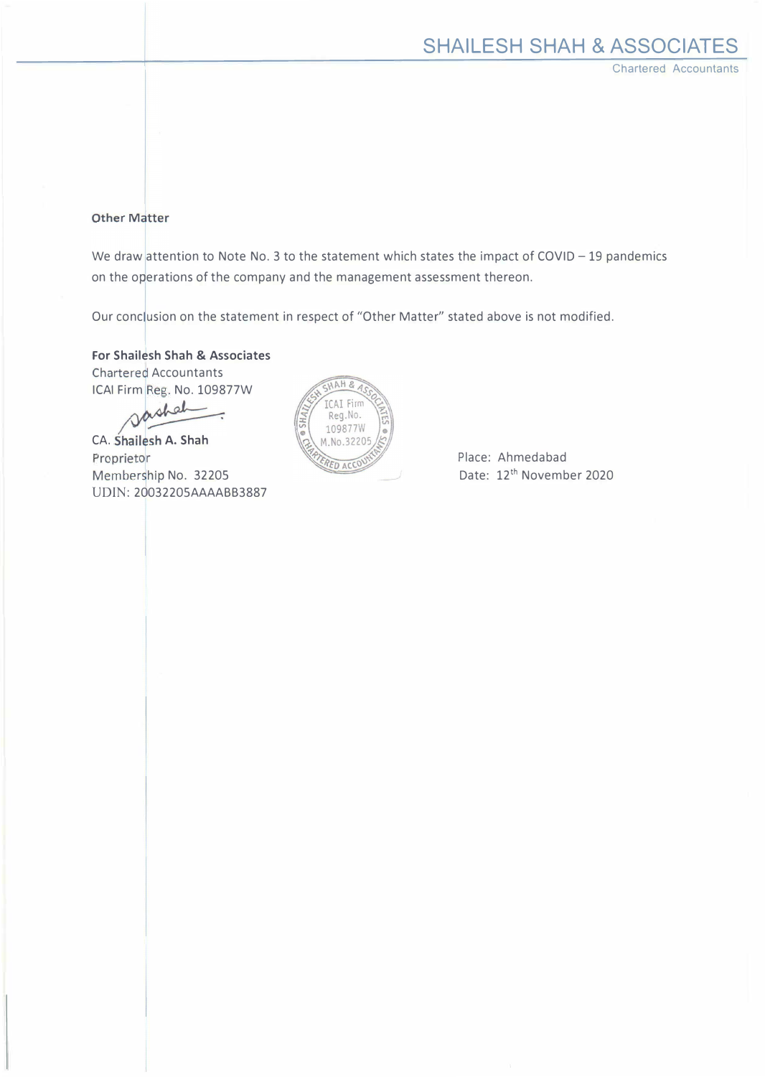Chartered Accountants

## Other Matter

We draw attention to Note No. 3 to the statement which states the impact of COVID - 19 pandemics on the operations of the company and the management assessment thereon.

Our conclusion on the statement in respect of "Other Matter" stated above is not modified.

For Shailesh Shah & Associates Chartered Accountants ICAI Firm Reg. No. 109877W

� CA. Shailesh A. Shah <sup>P</sup>roprieto<sup>r</sup> Member�hip No. 32205 UDIN: 20032205AAAABB3887



Place: Ahmedabad Date: 12<sup>th</sup> November 2020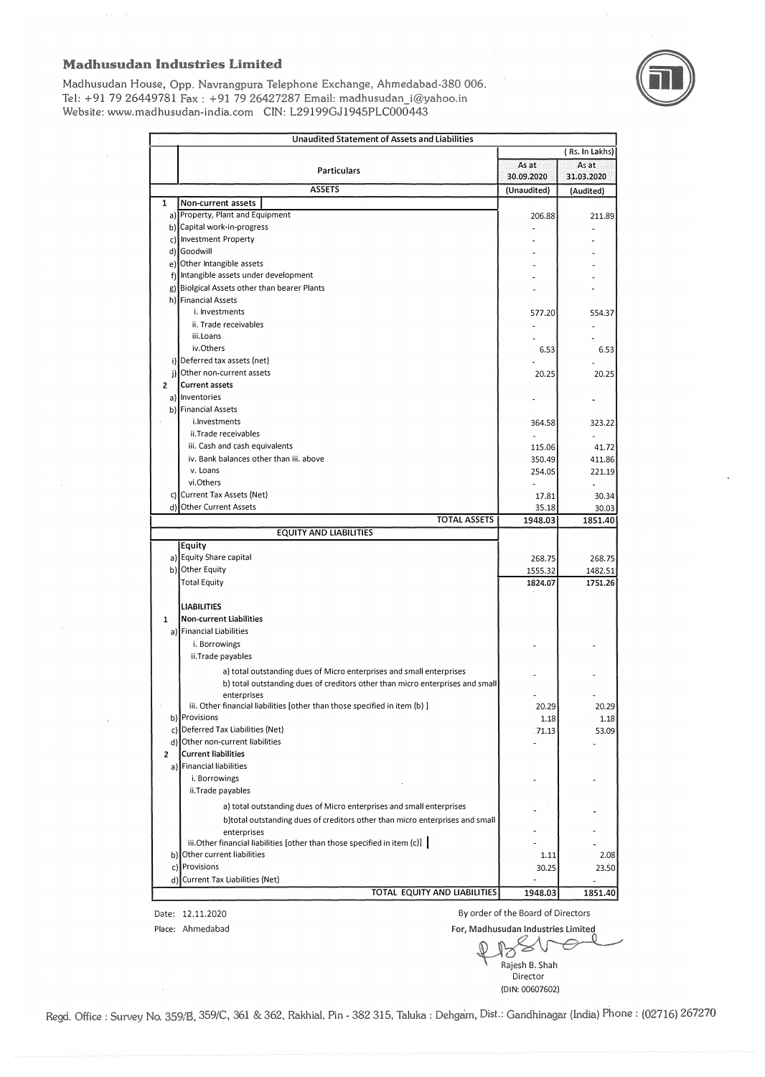Madhusudan House, Opp. Navrangpura Telephone Exchange, Ahmedabad-380 006. Tel: +91 79 26449781 Fax: +91 79 26427287 Email: madhusudan i@yahoo.in Website: www.madhusudan-india.com ClN: L29199GJ1945PLC000443



|                         | Unaudited Statement of Assets and Liabilities                                                                |                     |                     |
|-------------------------|--------------------------------------------------------------------------------------------------------------|---------------------|---------------------|
|                         |                                                                                                              |                     | (Rs. In Lakhs)      |
|                         | <b>Particulars</b>                                                                                           | As at<br>30.09.2020 | As at<br>31.03.2020 |
|                         | <b>ASSETS</b>                                                                                                | (Unaudited)         | (Audited)           |
| 1                       | Non-current assets                                                                                           |                     |                     |
|                         | a) Property, Plant and Equipment                                                                             | 206.88              | 211.89              |
|                         | b) Capital work-in-progress                                                                                  |                     |                     |
|                         | c) Investment Property                                                                                       |                     |                     |
|                         | d) Goodwill                                                                                                  |                     |                     |
|                         | e) Other Intangible assets                                                                                   |                     |                     |
|                         | f) Intangible assets under development                                                                       |                     |                     |
|                         | g) Biolgical Assets other than bearer Plants                                                                 |                     |                     |
|                         | h) Financial Assets                                                                                          |                     |                     |
|                         | i. Investments                                                                                               | 577.20              | 554.37              |
|                         | ii. Trade receivables                                                                                        |                     |                     |
|                         | iii.Loans                                                                                                    |                     |                     |
|                         | iv.Others                                                                                                    | 6.53                | 6.53                |
|                         | i) Deferred tax assets (net)                                                                                 |                     |                     |
|                         | j) Other non-current assets                                                                                  | 20.25               | 20.25               |
| $\overline{2}$          | <b>Current assets</b>                                                                                        |                     |                     |
|                         | a) Inventories                                                                                               |                     |                     |
|                         | b) Financial Assets                                                                                          |                     |                     |
|                         | i.lnvestments                                                                                                | 364.58              | 323.22              |
|                         | ii.Trade receivables                                                                                         | ÷.                  |                     |
|                         | iii. Cash and cash equivalents                                                                               | 115.06              | 41.72               |
|                         | iv. Bank balances other than iii. above                                                                      | 350.49              | 411.86              |
|                         | v. Loans                                                                                                     | 254.05              | 221.19              |
|                         | vi.Others                                                                                                    |                     |                     |
|                         | c) Current Tax Assets (Net)                                                                                  | 17.81               | 30.34               |
|                         | d) Other Current Assets                                                                                      | 35.18               | 30.03               |
|                         | <b>TOTAL ASSETS</b>                                                                                          | 1948.03             | 1851.40             |
|                         | <b>EQUITY AND LIABILITIES</b>                                                                                |                     |                     |
|                         | Equity                                                                                                       |                     |                     |
|                         | a) Equity Share capital                                                                                      | 268.75              | 268.75              |
|                         | b) Other Equity                                                                                              | 1555.32             | 1482.51             |
|                         | <b>Total Equity</b>                                                                                          | 1824.07             | 1751.26             |
|                         |                                                                                                              |                     |                     |
|                         | <b>LIABILITIES</b>                                                                                           |                     |                     |
| 1                       | <b>Non-current Liabilities</b>                                                                               |                     |                     |
|                         | a) Financial Liabilities                                                                                     |                     |                     |
|                         | i. Borrowings                                                                                                |                     |                     |
|                         | ii. Trade payables                                                                                           |                     |                     |
|                         | a) total outstanding dues of Micro enterprises and small enterprises                                         |                     |                     |
|                         | b) total outstanding dues of creditors other than micro enterprises and small                                |                     |                     |
|                         |                                                                                                              |                     |                     |
|                         | enterprises                                                                                                  |                     |                     |
|                         | iii. Other financial liabilities [other than those specified in item (b) ]                                   | 20.29               | 20.29               |
|                         | b) Provisions                                                                                                | 1.18                | 1.18                |
|                         | c) Deferred Tax Liabilities (Net)                                                                            | .71.13              | 53.09               |
|                         | d) Other non-current liabilities                                                                             |                     |                     |
| $\overline{\mathbf{c}}$ | <b>Current liabilities</b>                                                                                   |                     |                     |
|                         | a) Financial liabilities                                                                                     |                     |                     |
|                         | i. Borrowings                                                                                                |                     |                     |
|                         | ii.Trade payables                                                                                            |                     |                     |
|                         |                                                                                                              |                     |                     |
|                         | a) total outstanding dues of Micro enterprises and small enterprises                                         |                     |                     |
|                         | b)total outstanding dues of creditors other than micro enterprises and small                                 |                     |                     |
|                         | enterprises                                                                                                  |                     |                     |
|                         | iii. Other financial liabilities [other than those specified in item $(c)$ ]<br>b) Other current liabilities |                     |                     |
|                         |                                                                                                              | 1.11                | 2.08                |
|                         | c) Provisions<br>d) Current Tax Liabilities (Net)                                                            | 30.25               | 23.50               |

Place: Ahmedabad

Date: 12.11.2020 By order of the Board of Directors For, Madhusudan Industries Limited

Rajesh B. Shah Director

(DIN: 00607602)

Regd. Office : Survey No. 359/B, 359/C, 361 & 362, Rakhial, Pin - 382 315, Taluka : Dehgam, Dist.: Gandhinagar (India) Phone : (02716) 267270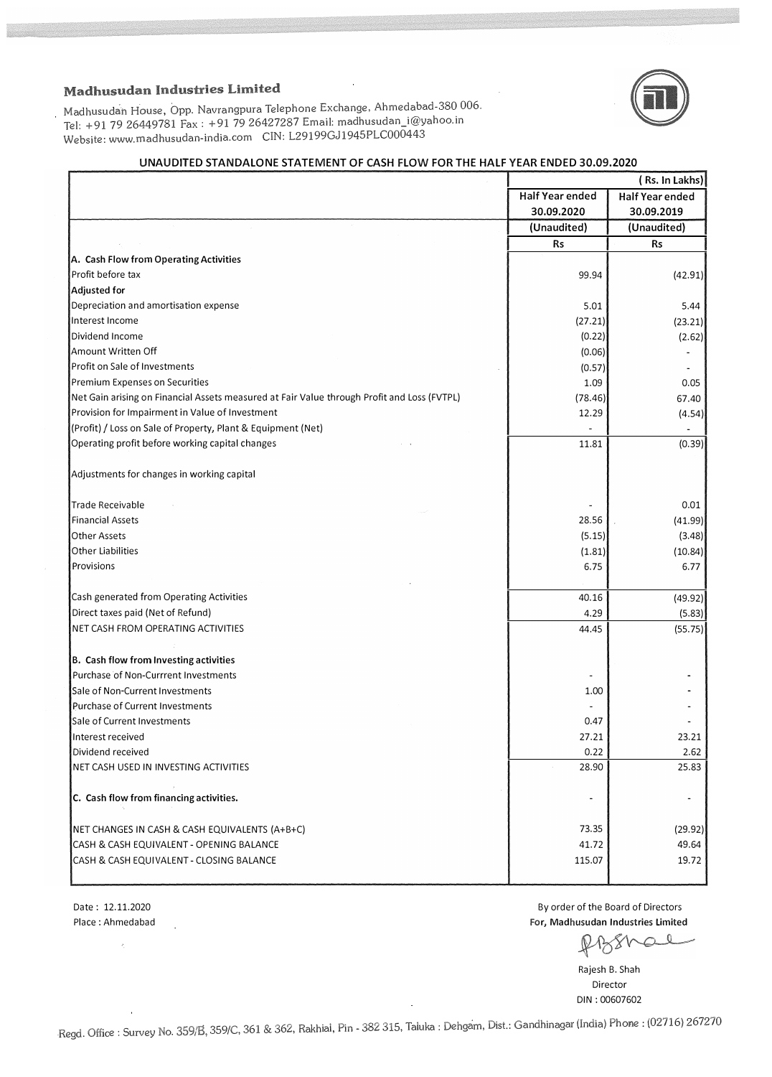

Madhusudan House, Opp. Navrangpura Telephone Exchange, Ahmedabad-380 006. Tel: +91 79 26449781 Fax : +91 79 26427287 Email: madhusudan\_i@yahoo.in Website: www.madhusudan-india. com CJN: L29199GJ1945PLC000443

#### UNAUDITED STANDALONE STATEMENT OF CASH FLOW FOR THE HALF VEAR ENDED 30.09.2020

|                                                                                             | (Rs. In Lakhs)         |                        |
|---------------------------------------------------------------------------------------------|------------------------|------------------------|
|                                                                                             | <b>Half Year ended</b> | <b>Half Year ended</b> |
|                                                                                             | 30.09.2020             | 30.09.2019             |
|                                                                                             | (Unaudited)            | (Unaudited)            |
|                                                                                             | <b>Rs</b>              | Rs                     |
| A. Cash Flow from Operating Activities                                                      |                        |                        |
| Profit before tax                                                                           | 99.94                  | (42.91)                |
| Adjusted for                                                                                |                        |                        |
| Depreciation and amortisation expense                                                       | 5.01                   | 5.44                   |
| Interest Income                                                                             | (27.21)                | (23.21)                |
| Dividend Income                                                                             | (0.22)                 | (2.62)                 |
| Amount Written Off                                                                          | (0.06)                 |                        |
| Profit on Sale of Investments                                                               | (0.57)                 |                        |
| Premium Expenses on Securities                                                              | 1.09                   | 0.05                   |
| Net Gain arising on Financial Assets measured at Fair Value through Profit and Loss (FVTPL) | (78.46)                | 67.40                  |
| Provision for Impairment in Value of Investment                                             | 12.29                  | (4.54)                 |
| (Profit) / Loss on Sale of Property, Plant & Equipment (Net)                                |                        |                        |
| Operating profit before working capital changes                                             | 11.81                  | (0.39)                 |
|                                                                                             |                        |                        |
| Adjustments for changes in working capital                                                  |                        |                        |
| Trade Receivable                                                                            |                        | 0.01                   |
| <b>Financial Assets</b>                                                                     | 28.56                  | (41.99)                |
| <b>Other Assets</b>                                                                         | (5.15)                 | (3.48)                 |
| Other Liabilities                                                                           | (1.81)                 | (10.84)                |
| Provisions                                                                                  | 6.75                   | 6.77                   |
|                                                                                             |                        |                        |
| Cash generated from Operating Activities                                                    | 40.16                  | (49.92)                |
| Direct taxes paid (Net of Refund)                                                           | 4.29                   | (5.83)                 |
| NET CASH FROM OPERATING ACTIVITIES                                                          | 44.45                  | (55.75)                |
|                                                                                             |                        |                        |
| B. Cash flow from Investing activities                                                      |                        |                        |
| Purchase of Non-Currrent Investments                                                        | $\blacksquare$         |                        |
| Sale of Non-Current Investments                                                             | 1.00                   |                        |
| Purchase of Current Investments                                                             |                        |                        |
| Sale of Current Investments                                                                 | 0.47                   |                        |
| Interest received                                                                           | 27.21                  | 23.21                  |
| Dividend received                                                                           | 0.22                   | 2.62                   |
| NET CASH USED IN INVESTING ACTIVITIES                                                       | 28.90                  | 25.83                  |
| C. Cash flow from financing activities.                                                     | $\blacksquare$         | $\overline{a}$         |
|                                                                                             |                        |                        |
| NET CHANGES IN CASH & CASH EQUIVALENTS (A+B+C)                                              | 73.35                  | (29.92)                |
| CASH & CASH EQUIVALENT - OPENING BALANCE                                                    | 41.72                  | 49.64                  |
| CASH & CASH EQUIVALENT - CLOSING BALANCE                                                    | 115.07                 | 19.72                  |
|                                                                                             |                        |                        |

Date: 12.11.2020 Place: Ahmedabad

 $\ddot{\phantom{a}}$ 

By order of the Board of Directors For, Madhusudan Industries Limited

Rajesh B. Shah Director DIN : 00607602